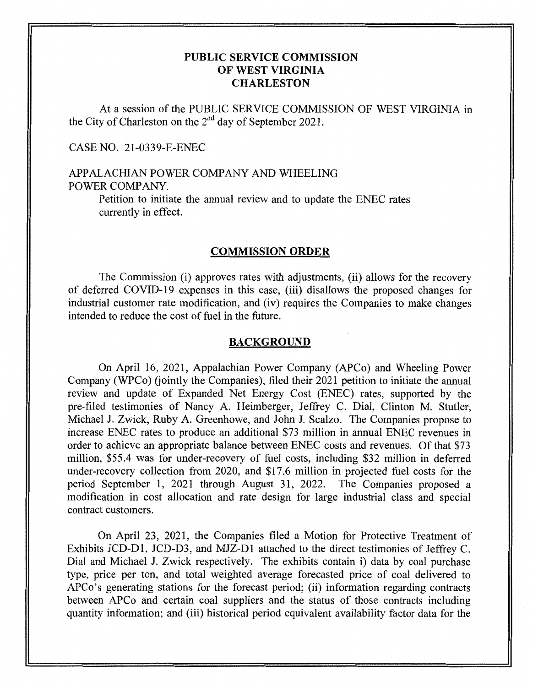## **PUBLIC SERVICE COMMISSION OF WEST VIRGINIA CHARLESTON**

At a session of the PUBLIC SERVICE COMMISSION OF WEST VIRGINIA in the City of Charleston on the  $2<sup>nd</sup>$  day of September 2021.

## CASE NO. 21-0339-E-ENEC

# APPALACHIAN POWER COMPANY AND WHEELING POWER COMPANY.

Petition to initiate the annual review and to update the ENEC rates currently in effect.

## **COMMISSION ORDER**

The Commission (i) approves rates with adjustments, (ii) allows for the recovery of deferred COVID-19 expenses in this case, (iii) disallows the proposed changes for industrial customer rate modification, and (iv) requires the Companies to make changes intended to reduce the cost of fuel in the future.

#### **BACKGROUND**

On April 16, 2021, Appalachian Power Company (APCo) and Wheeling Power Company (WPCo) (jointly the Companies), filed their 2021 petition to initiate the annual review and update of Expanded Net Energy Cost (ENEC) rates, supported by the pre-filed testimonies of Nancy A. Heimberger, Jeffrey C. Dial, Clinton M. Stutler, Michael J. Zwick, Ruby A. Greenhowe, and John J. Scalzo. The Companies propose to increase ENEC rates to produce an additional \$73 million in annual ENEC revenues in order to achieve an appropriate balance between ENEC costs and revenues. Of that \$73 million, \$55.4 was for under-recovery of fuel costs, including \$32 million in deferred under-recovery collection from 2020, and \$17.6 million in projected he1 costs for the period September 1, 2021 through August 31, 2022. The Companies proposed a modification in cost allocation and rate design for large industrial class and special contract customers.

On April 23, 2021, the Companies filed a Motion for Protective Treatment of Exhibits JCD-D1, JCD-D3, and MJZ-D1 attached to the direct testimonies of Jeffrey C. Dial and Michael J. Zwick respectively. The exhibits contain i) data by coal purchase type, price per ton, and total weighted average forecasted price of coal delivered to APCo's generating stations for the forecast period; (ii) information regarding contracts between APCo and certain coal suppliers and the status of those contracts including quantity information; and (iii) historical period equivalent availability factor data for the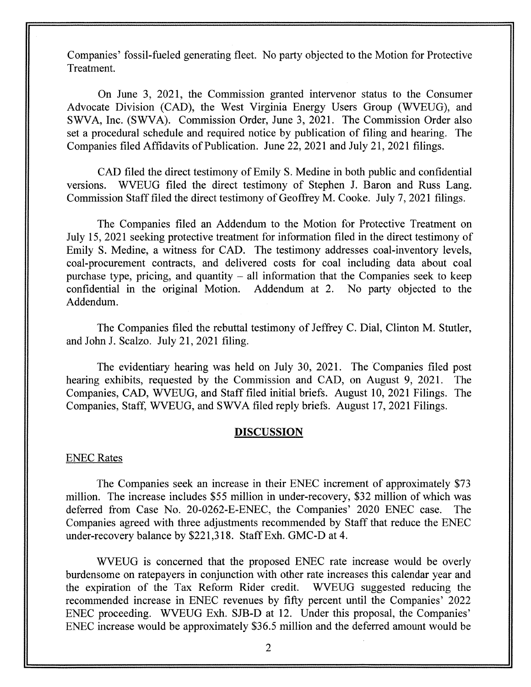Companies' fossil-fueled generating fleet. No party objected to the Motion for Protective Treatment.

On June 3, 2021, the Commission granted intervenor status to the Consumer Advocate Division (CAD), the West Virginia Energy Users Group (WVEUG), and SWA, Inc. (SWVA). Commission Order, June 3, 2021. The Commission Order also set a procedural schedule and required notice by publication of filing and hearing. The Companies filed Affidavits of Publication. June 22, 2021 and July 21, 2021 filings.

CAD filed the direct testimony of Emily **S.** Medine in both public and confidential versions. WVEUG filed the direct testimony of Stephen J. Baron and Russ Lang. Commission Staff filed the direct testimony of Geoffrey M. Cooke. July 7, 2021 filings.

The Companies filed an Addendum to the Motion for Protective Treatment on July 15, 2021 seeking protective treatment for information filed in the direct testimony of Emily **S.** Medine, **a** witness for CAD. The testimony addresses coal-inventory levels, coal-procurement contracts, and delivered costs for coal including data about coal purchase type, pricing, and quantity  $-$  all information that the Companies seek to keep confidential in the original Motion. Addendum at 2. No party objected to the confidential in the original Motion. Addendum. Addendum at 2.

The Companies filed the rebuttal testimony of Jeffrey C. Dial, Clinton M. Stutler, and John J. Scalzo. July 21, 2021 filing.

The evidentiary hearing was held on July 30, 2021. The Companies filed post hearing exhibits, requested by the Commission and CAD, on August 9, 2021. The Companies, CAD, WVEUG, and Staff filed initial briefs. August 10, 2021 Filings. The Companies, Staff, WVEUG, and SWVA filed reply briefs. August 17,2021 Filings.

## **DISCUSSION**

## ENEC Rates

The Companies seek an increase in their ENEC increment of approximately \$73 million. The increase includes \$55 million in under-recovery, \$32 million of which was deferred from Case No. 20-0262-E-ENEC, the Companies' 2020 ENEC case. The Companies agreed with three adjustments recommended by Staff that reduce the ENEC under-recovery balance by \$221,318. Staff Exh. GMC-D at 4.

WEUG is concerned that the proposed ENEC rate increase would be overly burdensome on ratepayers in conjunction with other rate increases this calendar year and the expiration of the Tax Reform Rider credit. WVEUG suggested reducing the recommended increase in ENEC revenues by fifty percent until the Companies' 2022 ENEC proceeding. WVEUG Exh. SJB-D at 12. Under this proposal, the Companies' ENEC increase would be approximately \$36.5 million and the deferred amount would be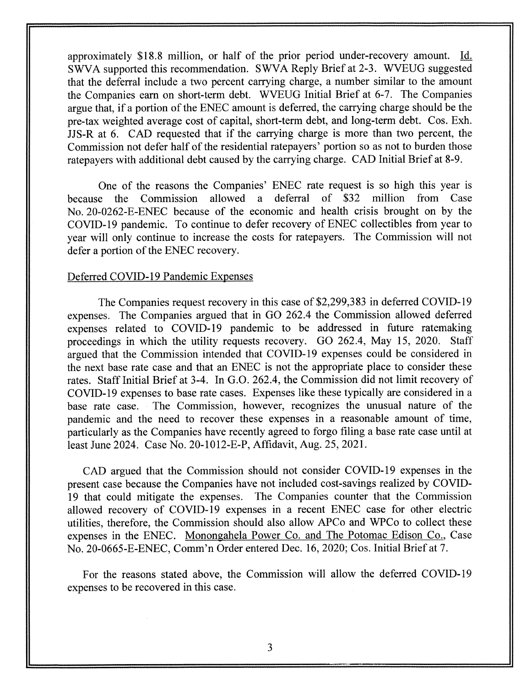approximately \$18.8 million, or half of the prior period under-recovery amount. Id. SWVA supported this recommendation. SWVA Reply Brief at 2-3. WVEUG suggested that the deferral include a two percent carrying charge, a number similar to the amount the Companies earn on short-term debt. WVEUG Initial Brief at 6-7. The Companies argue that, if a portion of the ENEC amount is deferred, the carrying charge should be the pre-tax weighted average cost of capital, short-term debt, and long-term debt. Cos. Exh. JJS-R at 6. CAD requested that if the carrying charge is more than two percent, the Commission not defer half of the residential ratepayers' portion so as not to burden those ratepayers with additional debt caused by the carrying charge. CAD Initial Brief at 8-9.

One of the reasons the Companies' ENEC rate request is so high this year is because the Commission allowed a deferral of \$32 million from Case No.20-0262-E-ENEC because of the economic and health crisis brought on by the COVID-19 pandemic. To continue to defer recovery of ENEC collectibles from year to year will only continue to increase the costs for ratepayers. The Commission will not defer a portion of the ENEC recovery.

## Deferred COVID-19 Pandemic Expenses

The Companies request recovery in this case of \$2,299,383 in deferred COVID-19 expenses. The Companies argued that in GO 262.4 the Commission allowed deferred expenses related to COVID-19 pandemic to be addressed in future ratemaking proceedings in which the utility requests recovery. GO 262.4, May 15, 2020. Staff argued that the Commission intended that COVID-19 expenses could be considered in the next base rate case and that an ENEC is not the appropriate place to consider these rates. Staff Initial Brief at 3-4. In G.O. 262.4, the Commission did not limit recovery of COVID- 19 expenses to base rate cases. Expenses like these typically are considered in a base rate case. The Commission, however, recognizes the unusual nature of the pandemic and the need to recover these expenses in a reasonable amount of time, particularly as the Companies have recently agreed to forgo filing a base rate case until at least June 2024. Case No. 20-1012-E-P, Affidavit, Aug. 25,2021.

CAD argued that the Commission should not consider COVID-19 expenses in the present case because the Companies have not included cost-savings realized by COVID-19 that could mitigate the expenses. The Companies counter that the Commission allowed recovery of COVID-19 expenses in a recent ENEC case for other electric utilities, therefore, the Commission should also allow *APCo* and WPCo to collect these expenses in the ENEC. Monongahela Power Co. and The Potomac Edison Co., Case No. 20-0665-E-ENEC, Comm'n Order entered Dec. 16, 2020; Cos. Initial Brief at 7.

For the reasons stated above, the Commission will allow the deferred COVID-19 expenses to be recovered in this case.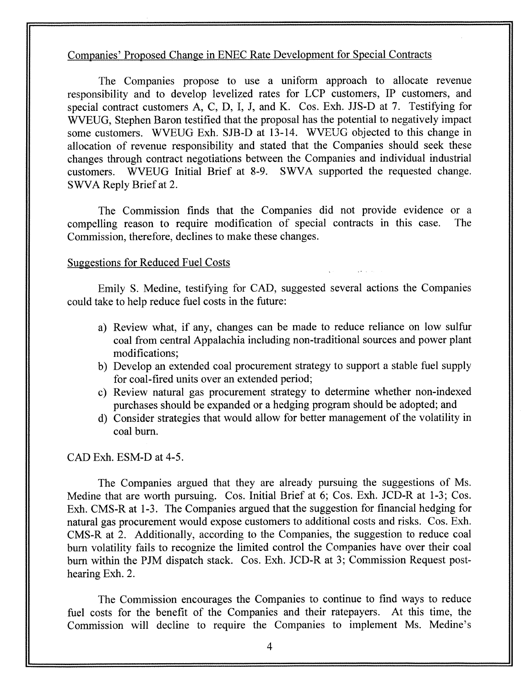## Companies' Proposed Change in ENEC Rate Development for Special Contracts

The Companies propose to use a uniform approach to allocate revenue responsibility and to develop levelized rates for LCP customers, IP customers, and special contract customers A, C, D, I, J, and K. Cos. Exh. JJS-D at 7. Testifying for WVEUG, Stephen Baron testified that the proposal has the potential to negatively impact some customers. WVEUG Exh. SJB-D at 13-14. WVEUG objected to this change in allocation of revenue responsibility and stated that the Companies should seek these changes through contract negotiations between the Companies and individual industrial customers. WVEUG Initial Brief at 8-9. SWVA supported the requested change. SWVA Reply Brief at 2.

The Commission finds that the Companies did not provide evidence or a compelling reason to require modification of special contracts in this case. The Commission, therefore, declines to make these changes.

## Suggestions for Reduced Fuel Costs

Emily **S.** Medine, testifying for CAD, suggested several actions the Companies could take to help reduce fuel costs in the future:

- a) Review what, if any, changes can be made to reduce reliance on low sulfur coal from central Appalachia including non-traditional sources and power plant modifications;
- b) Develop an extended coal procurement strategy to support a stable fuel supply for coal-fired units over an extended period;
- c) Review natural gas procurement strategy to determine whether non-indexed purchases should be expanded or a hedging program should be adopted; and
- d) Consider strategies that would allow for better management of the volatility in coal burn.

## CAD Exh. ESM-D at 4-5.

The Companies argued that they are already pursuing the suggestions of Ms. Medine that are worth pursuing. Cos. Initial Brief at 6; Cos. Exh. JCD-R at 1-3; Cos. Exh. CMS-R at 1-3. The Companies argued that the suggestion for financial hedging for natural gas procurement would expose customers to additional costs and risks. Cos. Exh. CMS-R at 2. Additionally, according to the Companies, the suggestion to reduce coal burn volatility fails to recognize the limited control the Companies have over their coal burn within the PJM dispatch stack. Cos. Exh. JCD-R at 3; Commission Request posthearing Exh. 2.

The Commission encourages the Companies to continue to find ways to reduce fuel costs for the benefit of the Companies and their ratepayers. At this time, the Commission will decline to require the Companies to implement Ms. Medine's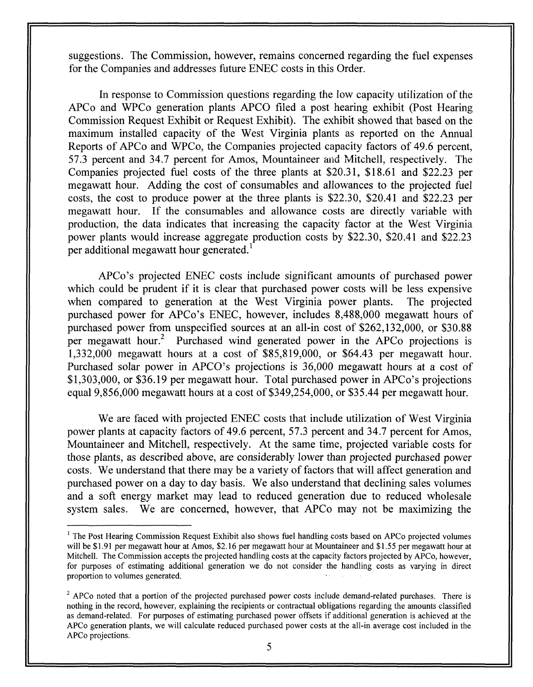suggestions. The Commission, however, remains concerned regarding the fuel expenses for the Companies and addresses future ENEC costs in this Order.

In response to Commission questions regarding the low capacity utilization of the APCo and WPCo generation plants APCO filed a post hearing exhibit (Post Hearing Commission Request Exhibit or Request Exhibit). The exhibit showed that based on the maximum installed capacity of the West Virginia plants as reported on the Annual Reports of APCo and WPCo, the Companies projected capacity factors of 49.6 percent, 57.3 percent and 34.7 percent for Amos, Mountaineer and Mitchell, respectively. The Companies projected fuel costs of the three plants at \$20.31, \$18.61 and \$22.23 per megawatt hour. Adding the cost of consumables and allowances to the projected fuel costs, the cost to produce power at the three plants is \$22.30, \$20.41 and \$22.23 per megawatt hour. If the consumables and allowance costs are directly variable with production, the data indicates that increasing the capacity factor at the West Virginia power plants would increase aggregate production costs by \$22.30, \$20.41 and \$22.23 per additional megawatt hour generated.<sup>1</sup>

APCo's projected ENEC costs include significant amounts of purchased power which could be prudent if it is clear that purchased power costs will be less expensive when compared to generation at the West Virginia power plants. The projected purchased power for APCo's ENEC, however, includes 8,488,000 megawatt hours of purchased power from unspecified sources at an all-in cost of \$262,132,000, or \$30.88 per megawatt hour.<sup>2</sup> Purchased wind generated power in the APCo projections is 1,332,000 megawatt hours at a cost of \$85,819,000, or \$64.43 per megawatt hour. Purchased solar power in APCO's projections is 36,000 megawatt hours at a cost of \$1,303,000, or \$36.19 per megawatt hour. Total purchased power in APCo's projections equal 9,856,000 megawatt hours at a cost of \$349,254,000, or \$35.44 per megawatt hour.

We are faced with projected ENEC costs that include utilization of West Virginia power plants at capacity factors of 49.6 percent, 57.3 percent and 34.7 percent for Amos, Mountaineer and Mitchell, respectively. At the same time, projected variable costs for those plants, as described above, are considerably lower than projected purchased power costs. We understand that there may be a variety of factors that will affect generation and purchased power on a day to day basis. We also understand that declining sales volumes and a soft energy market may lead to reduced generation due to reduced wholesale system sales. We are concerned, however, that APCo may not be maximizing the

**I'** 

<sup>&</sup>lt;sup>1</sup> The Post Hearing Commission Request Exhibit also shows fuel handling costs based on APCo projected volumes will be **\$1.91** per megawatt hour at Amos, **\$2.16** per megawatt hour at Mountaineer and \$1 *'55* per megawatt hour at Mitchell. The Commission accepts the projected handling costs at the capacity factors projected by APCo, however, for purposes of estimating additional generation we do not consider the handling costs as varying in direct proportion to volumes generated.

 $2$  APCo noted that a portion of the projected purchased power costs include demand-related purchases. There is nothing in the record, however, explaining the recipients or contractual obligations regarding the amounts classified as demand-related. For purposes of estimating purchased power offsets if additional generation is achieved at the APCo generation plants, we will calculate reduced purchased power costs at the all-in average cost included in the APCo projections.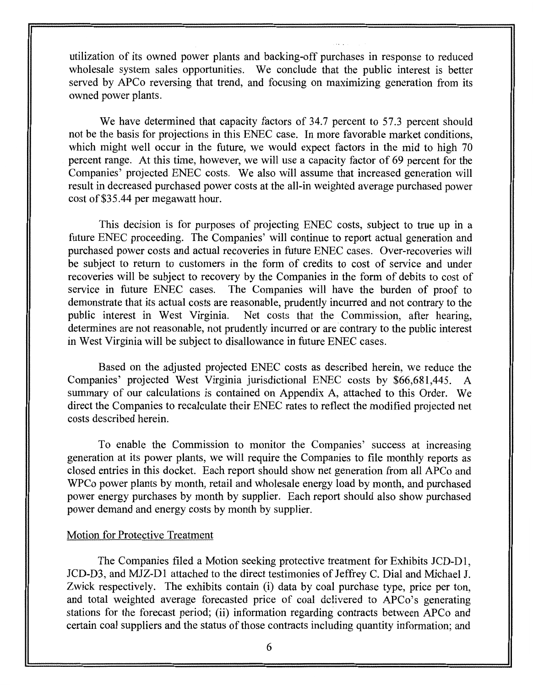utilization of its owned power plants and backing-off purchases in response to reduced wholesale system sales opportunities. We conclude that the public interest is better served by APCo reversing that trend, and focusing on maximizing generation from its owned power plants.

We have determined that capacity factors of 34.7 percent to 57.3 percent should not be the basis for projections in this ENEC case. In more favorable market conditions, which might well occur in the future, we would expect factors in the mid to high 70 percent range. At this time, however, we will use a capacity factor of 69 percent for the Companies' projected ENEC costs. We also will assume that increased generation will result in decreased purchased power costs at the all-in weighted average purchased power cost of \$35.44 per megawatt hour.

This decision is for purposes of projecting ENEC costs, subject to true up in a future ENEC proceeding. The Companies' will continue to report actual generation and purchased power costs and actual recoveries in future ENEC cases. Over-recoveries will be subject to return to customers in the form of credits to cost of service and under recoveries will be subject to recovery by the Companies in the form of debits to cost of service in future ENEC cases. The Companies will have the burden of proof to demonstrate that its actual costs are reasonable, prudently incurred and not contrary to the public interest in West Virginia. Net costs that the Commission, after hearing, determines are not reasonable, not prudently incurred or are contrary to the public interest in West Virginia will be subject to disallowance in future ENEC cases.

Based on the adjusted projected ENEC costs as described herein, we reduce the Companies' projected West Virginia jurisdictional ENEC costs by \$66,681,445. summary of our calculations is contained on Appendix A, attached to this Order. We direct the Companies to recalculate their ENEC rates to reflect the modified projected net costs described herein.

To enable the Commission to monitor the Companies' success at increasing generation at its power plants, we will require the Companies to file monthly reports as closed entries in this docket. Each report should show net generation from all APCo and WPCo power plants by month, retail and wholesale energy load by month, and purchased power energy purchases by month by supplier. Each report should also show purchased power demand and energy costs by month by supplier.

## Motion for Protective Treatment

The Companies filed a Motion seeking protective treatment for Exhibits JCD-D1, JCD-D3, and MJZ-D1 attached to the direct testimonies of Jeffrey C. Dial and Michael J. Zwick respectively. The exhibits contain (i) data by coal purchase type, price per ton, and total weighted average forecasted price of coal delivered to APCo's generating stations for the forecast period; (ii) information regarding contracts between APCo and certain coal suppliers and the status of those contracts including quantity information; and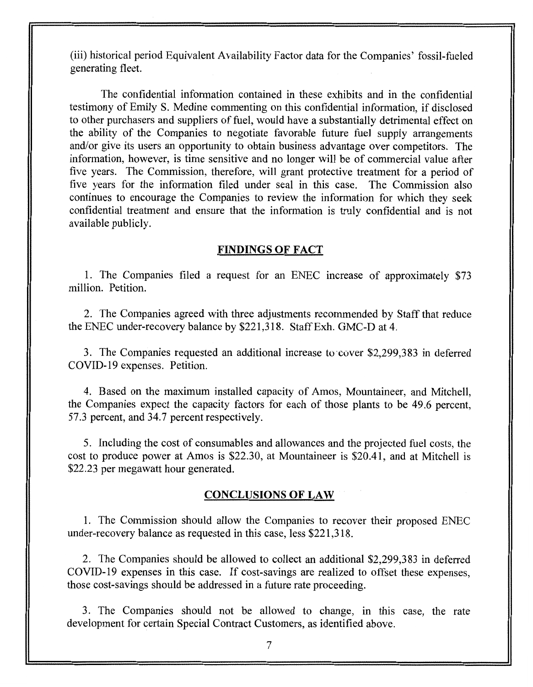(iii) historical period Equivalent Availability Factor data for the Companies' fossil-fueled generating fleet.

The confidential information contained in these exhibits and in the confidential testimony of Emily **S.** Medine commenting on this confidential information, if disclosed to other purchasers and suppliers of fuel, would have a substantially detrimental effect on the ability of the Companies to negotiate favorable future fuel supply arrangements and/or give its users an opportunity to obtain business advantage over competitors. The information, however, is time sensitive and no longer will be of commercial value after five years. The Commission, therefore, will grant protective treatment for a period of five years for the information filed under seal in this case. The Commission also continues to encourage the Companies to review the information for which they seek confidential treatment and ensure that the information is truly confidential and is not available publicly.

## **FINDINGS OF FACT**

1. The Companies filed a request for an ENEC increase of approximately \$73 million. Petition.

2. The Companies agreed with three adjustments recommended by Staff that reduce the ENEC under-recovery balance by \$221,3 18. Staff Exh. GMC-D at 4.

3. The Companies requested an additional increase to cover \$2,299,383 in deferred COVID-19 expenses. Petition.

4. Based on the maximum installed capacity of Amos, Mountaineer, and Mitchell, the Companies expect the capacity factors for each of those plants to be 49.6 percent, 57.3 percent, and 34.7 percent respectively.

*5.* Including the cost of consumables and allowances and the projected fuel costs, the cost to produce power at Amos is \$22.30, at Mountaineer is \$20.41, and at Mitchell is \$22.23 per megawatt hour generated.

## **CONCLUSIONS OF LAW**

1. The Commission should allow the Companies to recover their proposed ENEC under-recovery balance as requested in this case, less \$22 1,3 18.

2. The Companies should be allowed to collect an additional \$2,299,383 in deferred COVID-19 expenses in this case. If cost-savings are realized to offset these expenses, those cost-savings should be addressed in a future rate proceeding.

3. The Companies should not be allowed to change, in this case, the rate development for certain Special Contract Customers, as identified above.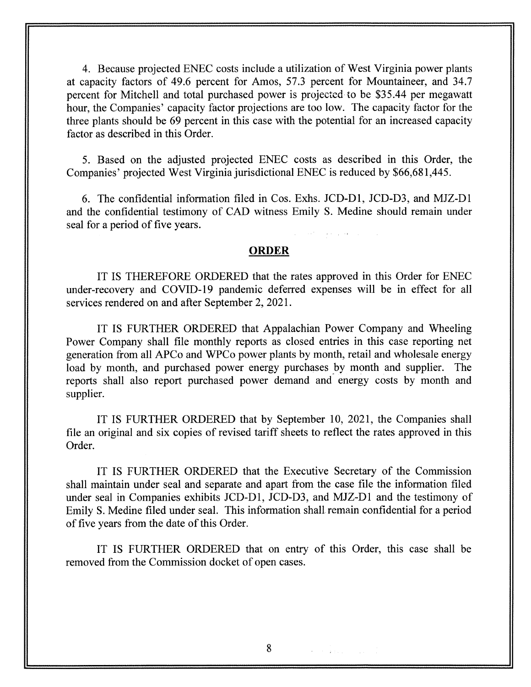4. Because projected ENEC costs include a utilization of West Virginia power plants at capacity factors of 49.6 percent for Amos, 57.3 percent for Mountaineer, and 34.7 percent for Mitchell and total purchased power is prujectcd **to** be \$35.44 per megawatt hour, the Companies' capacity factor projections are too low. The capacity factor for the three plants should be 69 percent in this case with the potential for an increased capacity factor as described in this Order.

5. Based on the adjusted projected ENEX costs as described in this Order, the Companies' projected West Virginia jurisdictional ENEC is reduced by \$66,68 1,445.

6. The confidential information filed in Cos. Exhs. JCD-Dl, JCD-D3, and MJZ-D1 and the confidential testimony of CAD witness Emily **S.** Medine should remain under seal for a period of five years.

**ORDER** 

IT IS THEREFORE ORDERED that the rates approved in this Order for ENEC under-recovery and COVID-19 pandemic deferred expenses will be in effect for all services rendered on and after September 2, 2021.

IT IS FURTHER ORDERED that Appalachian Power Company and Wheeling Power Company shall file monthly reports as closed entries in this case reporting net generation from all APCo and WPCo power plants by month, retail and wholesale energy load by month, and purchased power energy purchases by month and supplier. The reports shall also report purchased power demand and- energy costs by month and supplier.

IT IS FURTHER ORDERED that by September 10, 2021, the Companies shall file an original and six copies of revised tariff sheets to reflect the rates approved in this Order.

IT **IS** FURTHER ORDERED that the Executive Secretary of the Commission shall maintain under seal and separate and apart from the case file the information filed under seal in Companies exhibits JCD-D1, JCD-D3, and MJZ-D1 and the testimony of Emily **S.** Medine filed under seal. This information shall remain confidential for a period of five years from the date of this Order.

IT IS FURTHER ORDERED that on entry of this Order, this case shall be removed from the Commission docket of open cases.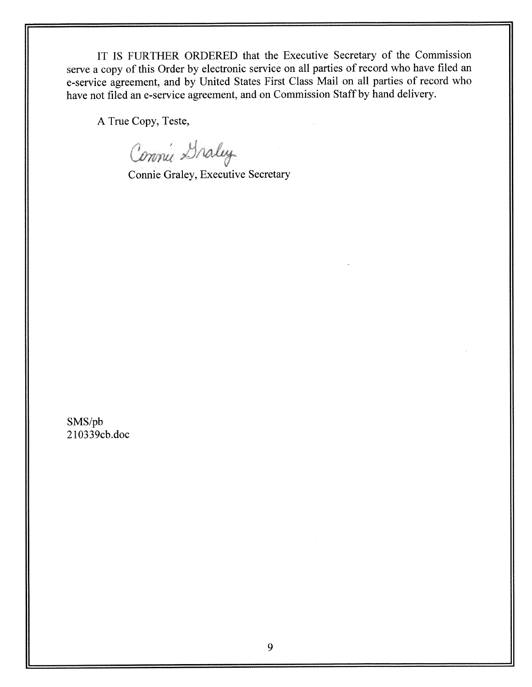IT IS FURTHER ORDERED that the Executive Secretary of the Commission serve a copy of this Order by electronic service on all parties of record who have filed an e-service agreement, and by United States First Class Mail on all parties of record who have not filed an e-service agreement, and on Commission Staff by hand delivery.

**A** True Copy, Teste,

Connie Draley

Connie Graley, Executive Secretary

SMS/pb 2 103 39cb.doc